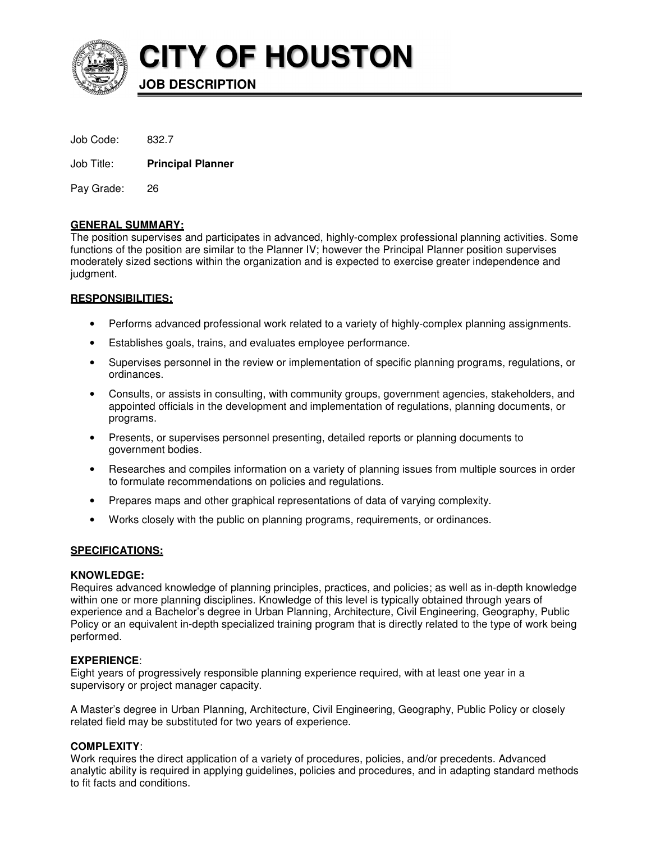

**CITY OF HOUSTON**

**JOB DESCRIPTION** 

Job Title: **Principal Planner**

Pay Grade: 26

# **GENERAL SUMMARY:**

The position supervises and participates in advanced, highly-complex professional planning activities. Some functions of the position are similar to the Planner IV; however the Principal Planner position supervises moderately sized sections within the organization and is expected to exercise greater independence and judgment.

# **RESPONSIBILITIES:**

- Performs advanced professional work related to a variety of highly-complex planning assignments.
- Establishes goals, trains, and evaluates employee performance.
- Supervises personnel in the review or implementation of specific planning programs, regulations, or ordinances.
- Consults, or assists in consulting, with community groups, government agencies, stakeholders, and appointed officials in the development and implementation of regulations, planning documents, or programs.
- Presents, or supervises personnel presenting, detailed reports or planning documents to government bodies.
- Researches and compiles information on a variety of planning issues from multiple sources in order to formulate recommendations on policies and regulations.
- Prepares maps and other graphical representations of data of varying complexity.
- Works closely with the public on planning programs, requirements, or ordinances.

# **SPECIFICATIONS:**

# **KNOWLEDGE:**

Requires advanced knowledge of planning principles, practices, and policies; as well as in-depth knowledge within one or more planning disciplines. Knowledge of this level is typically obtained through years of experience and a Bachelor's degree in Urban Planning, Architecture, Civil Engineering, Geography, Public Policy or an equivalent in-depth specialized training program that is directly related to the type of work being performed.

# **EXPERIENCE**:

Eight years of progressively responsible planning experience required, with at least one year in a supervisory or project manager capacity.

A Master's degree in Urban Planning, Architecture, Civil Engineering, Geography, Public Policy or closely related field may be substituted for two years of experience.

# **COMPLEXITY**:

Work requires the direct application of a variety of procedures, policies, and/or precedents. Advanced analytic ability is required in applying guidelines, policies and procedures, and in adapting standard methods to fit facts and conditions.